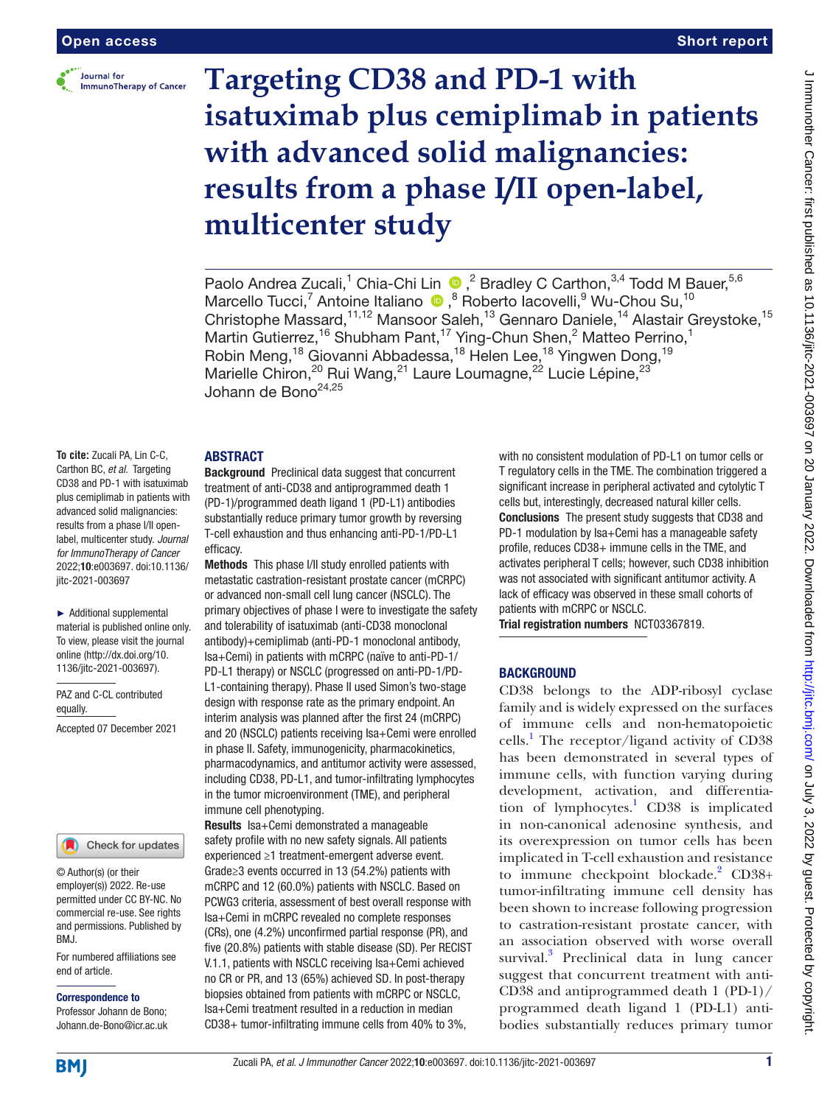

# **Targeting CD38 and PD-1 with isatuximab plus cemiplimab in patients with advanced solid malignancies: results from a phase I/II open-label, multicenter study**

Paolo Andrea Zucali,<sup>1</sup> Chia-Chi Lin (D, <sup>2</sup> Bradley C Carthon, <sup>3,4</sup> Todd M Bauer, <sup>5,6</sup> Marcello Tucci,<sup>7</sup> Antoine Italiano <sup>®</sup>, <sup>8</sup> Roberto Iacovelli, <sup>9</sup> Wu-Chou Su, <sup>10</sup> Christophe Massard,<sup>11,12</sup> Mansoor Saleh,<sup>13</sup> Gennaro Daniele,<sup>14</sup> Alastair Greystoke,<sup>15</sup> Martin Gutierrez,<sup>16</sup> Shubham Pant,<sup>17</sup> Ying-Chun Shen,<sup>2</sup> Matteo Perrino,<sup>1</sup> Robin Meng,<sup>18</sup> Giovanni Abbadessa,<sup>18</sup> Helen Lee,<sup>18</sup> Yingwen Dong,<sup>19</sup> Marielle Chiron,<sup>20</sup> Rui Wang,<sup>21</sup> Laure Loumagne,<sup>22</sup> Lucie Lépine,<sup>23</sup> Johann de Bono<sup>24,25</sup>

# **ABSTRACT**

**To cite:** Zucali PA, Lin C-C, Carthon BC, *et al*. Targeting CD38 and PD-1 with isatuximab plus cemiplimab in patients with advanced solid malignancies: results from a phase I/II openlabel, multicenter study. *Journal for ImmunoTherapy of Cancer* 2022;10:e003697. doi:10.1136/ jitc-2021-003697

► Additional supplemental material is published online only. To view, please visit the journal online [\(http://dx.doi.org/10.](http://dx.doi.org/10.1136/jitc-2021-003697) [1136/jitc-2021-003697\)](http://dx.doi.org/10.1136/jitc-2021-003697).

PAZ and C-CL contributed equally.

Accepted 07 December 2021



© Author(s) (or their employer(s)) 2022. Re-use permitted under CC BY-NC. No commercial re-use. See rights and permissions. Published by BMJ.

For numbered affiliations see end of article.

Correspondence to

Professor Johann de Bono; Johann.de-Bono@icr.ac.uk

Background Preclinical data suggest that concurrent treatment of anti-CD38 and antiprogrammed death 1 (PD-1)/programmed death ligand 1 (PD-L1) antibodies substantially reduce primary tumor growth by reversing T-cell exhaustion and thus enhancing anti-PD-1/PD-L1 efficacy.

Methods This phase I/II study enrolled patients with metastatic castration-resistant prostate cancer (mCRPC) or advanced non-small cell lung cancer (NSCLC). The primary objectives of phase I were to investigate the safety and tolerability of isatuximab (anti-CD38 monoclonal antibody)+cemiplimab (anti-PD-1 monoclonal antibody, Isa+Cemi) in patients with mCRPC (naïve to anti-PD-1/ PD-L1 therapy) or NSCLC (progressed on anti-PD-1/PD-L1-containing therapy). Phase II used Simon's two-stage design with response rate as the primary endpoint. An interim analysis was planned after the first 24 (mCRPC) and 20 (NSCLC) patients receiving Isa+Cemi were enrolled in phase II. Safety, immunogenicity, pharmacokinetics, pharmacodynamics, and antitumor activity were assessed, including CD38, PD-L1, and tumor-infiltrating lymphocytes in the tumor microenvironment (TME), and peripheral immune cell phenotyping.

Results Isa+Cemi demonstrated a manageable safety profile with no new safety signals. All patients experienced ≥1 treatment-emergent adverse event. Grade≥3 events occurred in 13 (54.2%) patients with mCRPC and 12 (60.0%) patients with NSCLC. Based on PCWG3 criteria, assessment of best overall response with Isa+Cemi in mCRPC revealed no complete responses (CRs), one (4.2%) unconfirmed partial response (PR), and five (20.8%) patients with stable disease (SD). Per RECIST V.1.1, patients with NSCLC receiving Isa+Cemi achieved no CR or PR, and 13 (65%) achieved SD. In post-therapy biopsies obtained from patients with mCRPC or NSCLC, Isa+Cemi treatment resulted in a reduction in median CD38+ tumor-infiltrating immune cells from 40% to 3%,

with no consistent modulation of PD-L1 on tumor cells or T regulatory cells in the TME. The combination triggered a significant increase in peripheral activated and cytolytic T cells but, interestingly, decreased natural killer cells. Conclusions The present study suggests that CD38 and PD-1 modulation by Isa+Cemi has a manageable safety profile, reduces CD38+ immune cells in the TME, and activates peripheral T cells; however, such CD38 inhibition was not associated with significant antitumor activity. A lack of efficacy was observed in these small cohorts of patients with mCRPC or NSCLC.

Trial registration numbers [NCT03367819.](NCT03367819)

# **BACKGROUND**

CD38 belongs to the ADP-ribosyl cyclase family and is widely expressed on the surfaces of immune cells and non-hematopoietic cells.[1](#page-6-0) The receptor/ligand activity of CD38 has been demonstrated in several types of immune cells, with function varying during development, activation, and differentiation of lymphocytes.<sup>1</sup> CD38 is implicated in non-canonical adenosine synthesis, and its overexpression on tumor cells has been implicated in T-cell exhaustion and resistance to immune checkpoint blockade.<sup>[2](#page-6-1)</sup> CD38+ tumor-infiltrating immune cell density has been shown to increase following progression to castration-resistant prostate cancer, with an association observed with worse overall survival.<sup>3</sup> Preclinical data in lung cancer suggest that concurrent treatment with anti-CD38 and antiprogrammed death 1 (PD-1)/ programmed death ligand 1 (PD-L1) antibodies substantially reduces primary tumor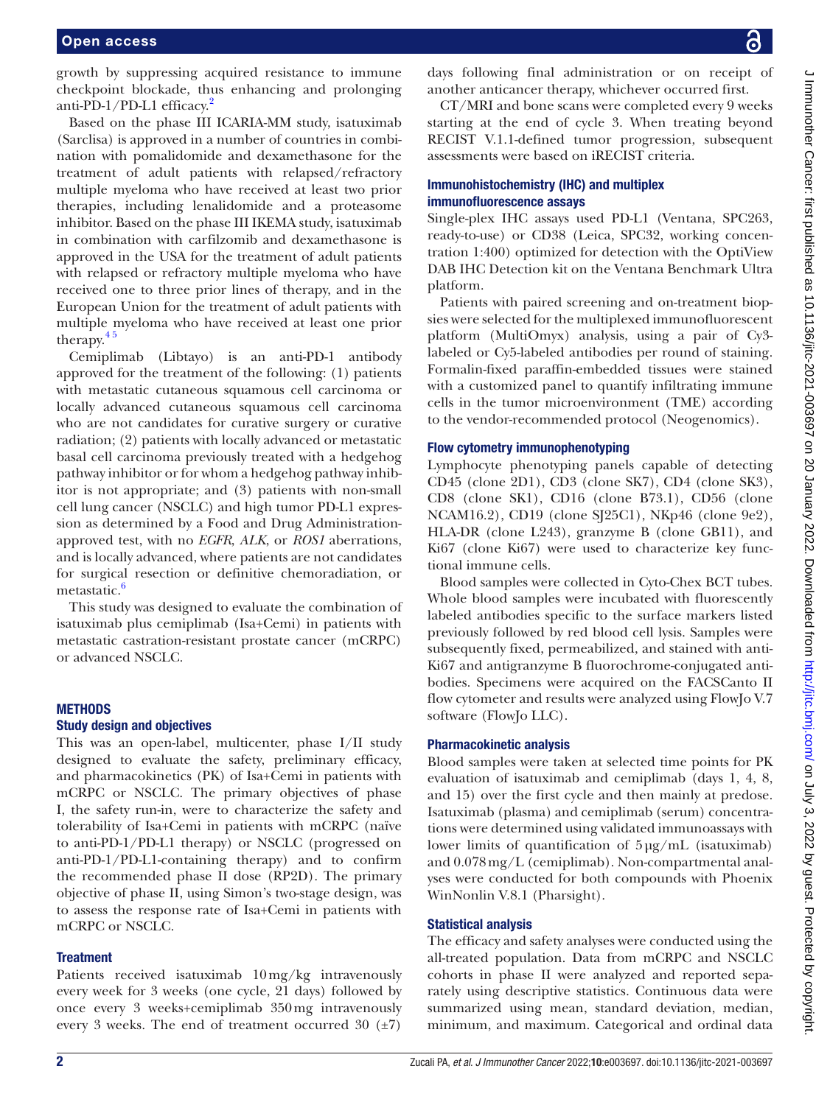growth by suppressing acquired resistance to immune checkpoint blockade, thus enhancing and prolonging anti-PD-1/PD-L1 efficacy.<sup>2</sup>

Based on the phase III ICARIA-MM study, isatuximab (Sarclisa) is approved in a number of countries in combination with pomalidomide and dexamethasone for the treatment of adult patients with relapsed/refractory multiple myeloma who have received at least two prior therapies, including lenalidomide and a proteasome inhibitor. Based on the phase III IKEMA study, isatuximab in combination with carfilzomib and dexamethasone is approved in the USA for the treatment of adult patients with relapsed or refractory multiple myeloma who have received one to three prior lines of therapy, and in the European Union for the treatment of adult patients with multiple myeloma who have received at least one prior therapy. $45$ 

Cemiplimab (Libtayo) is an anti-PD-1 antibody approved for the treatment of the following: (1) patients with metastatic cutaneous squamous cell carcinoma or locally advanced cutaneous squamous cell carcinoma who are not candidates for curative surgery or curative radiation; (2) patients with locally advanced or metastatic basal cell carcinoma previously treated with a hedgehog pathway inhibitor or for whom a hedgehog pathway inhibitor is not appropriate; and (3) patients with non-small cell lung cancer (NSCLC) and high tumor PD-L1 expression as determined by a Food and Drug Administrationapproved test, with no *EGFR*, *ALK*, or *ROS1* aberrations, and is locally advanced, where patients are not candidates for surgical resection or definitive chemoradiation, or metastatic.<sup>[6](#page-6-4)</sup>

This study was designed to evaluate the combination of isatuximab plus cemiplimab (Isa+Cemi) in patients with metastatic castration-resistant prostate cancer (mCRPC) or advanced NSCLC.

# **METHODS**

#### Study design and objectives

This was an open-label, multicenter, phase I/II study designed to evaluate the safety, preliminary efficacy, and pharmacokinetics (PK) of Isa+Cemi in patients with mCRPC or NSCLC. The primary objectives of phase I, the safety run-in, were to characterize the safety and tolerability of Isa+Cemi in patients with mCRPC (naïve to anti-PD-1/PD-L1 therapy) or NSCLC (progressed on anti-PD-1/PD-L1-containing therapy) and to confirm the recommended phase II dose (RP2D). The primary objective of phase II, using Simon's two-stage design, was to assess the response rate of Isa+Cemi in patients with mCRPC or NSCLC.

#### **Treatment**

Patients received isatuximab 10mg/kg intravenously every week for 3 weeks (one cycle, 21 days) followed by once every 3 weeks+cemiplimab 350mg intravenously every 3 weeks. The end of treatment occurred 30  $(\pm 7)$ 

days following final administration or on receipt of another anticancer therapy, whichever occurred first.

CT/MRI and bone scans were completed every 9 weeks starting at the end of cycle 3. When treating beyond RECIST V.1.1-defined tumor progression, subsequent assessments were based on iRECIST criteria.

# Immunohistochemistry (IHC) and multiplex immunofluorescence assays

Single-plex IHC assays used PD-L1 (Ventana, SPC263, ready-to-use) or CD38 (Leica, SPC32, working concentration 1:400) optimized for detection with the OptiView DAB IHC Detection kit on the Ventana Benchmark Ultra platform.

Patients with paired screening and on-treatment biopsies were selected for the multiplexed immunofluorescent platform (MultiOmyx) analysis, using a pair of Cy3 labeled or Cy5-labeled antibodies per round of staining. Formalin-fixed paraffin-embedded tissues were stained with a customized panel to quantify infiltrating immune cells in the tumor microenvironment (TME) according to the vendor-recommended protocol (Neogenomics).

#### Flow cytometry immunophenotyping

Lymphocyte phenotyping panels capable of detecting CD45 (clone 2D1), CD3 (clone SK7), CD4 (clone SK3), CD8 (clone SK1), CD16 (clone B73.1), CD56 (clone NCAM16.2), CD19 (clone SJ25C1), NKp46 (clone 9e2), HLA-DR (clone L243), granzyme B (clone GB11), and Ki67 (clone Ki67) were used to characterize key functional immune cells.

Blood samples were collected in Cyto-Chex BCT tubes. Whole blood samples were incubated with fluorescently labeled antibodies specific to the surface markers listed previously followed by red blood cell lysis. Samples were subsequently fixed, permeabilized, and stained with anti-Ki67 and antigranzyme B fluorochrome-conjugated antibodies. Specimens were acquired on the FACSCanto II flow cytometer and results were analyzed using FlowJo V.7 software (FlowJo LLC).

# Pharmacokinetic analysis

Blood samples were taken at selected time points for PK evaluation of isatuximab and cemiplimab (days 1, 4, 8, and 15) over the first cycle and then mainly at predose. Isatuximab (plasma) and cemiplimab (serum) concentrations were determined using validated immunoassays with lower limits of quantification of 5µg/mL (isatuximab) and 0.078mg/L (cemiplimab). Non-compartmental analyses were conducted for both compounds with Phoenix WinNonlin V.8.1 (Pharsight).

# Statistical analysis

The efficacy and safety analyses were conducted using the all-treated population. Data from mCRPC and NSCLC cohorts in phase II were analyzed and reported separately using descriptive statistics. Continuous data were summarized using mean, standard deviation, median, minimum, and maximum. Categorical and ordinal data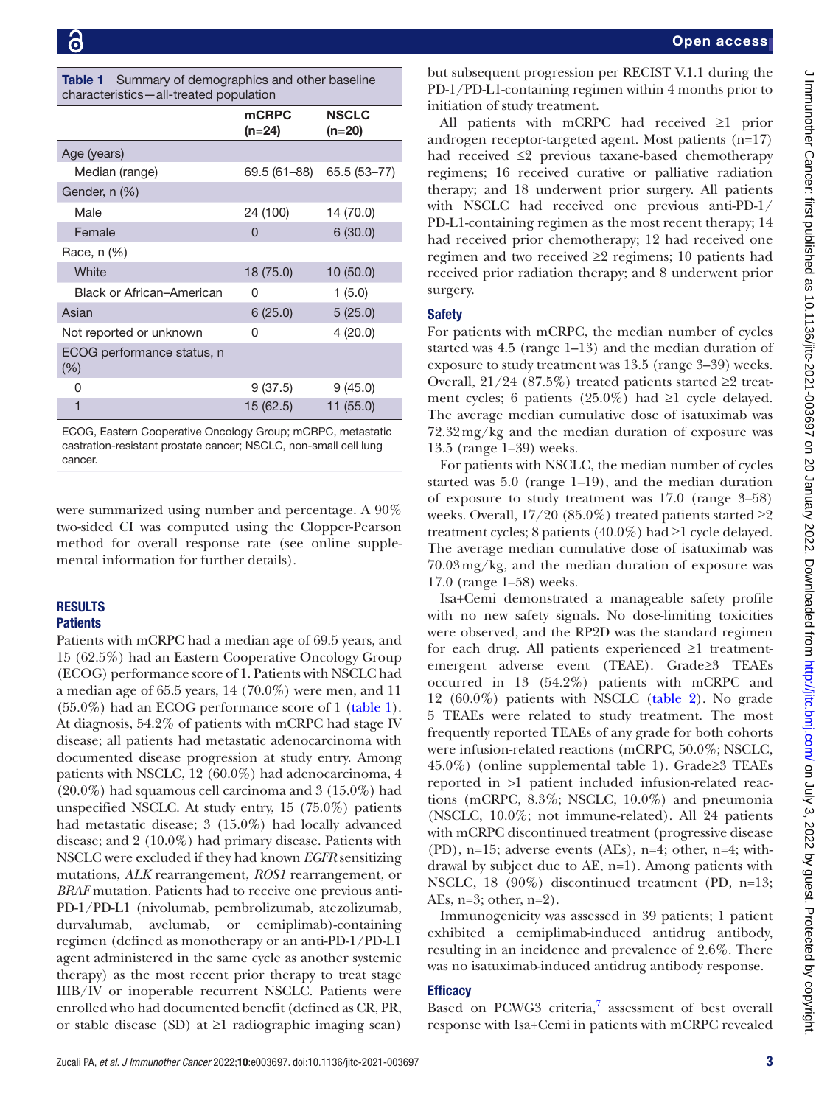<span id="page-2-0"></span>

| <b>Table 1</b> Summary of demographics and other baseline |
|-----------------------------------------------------------|
| characteristics-all-treated population                    |

| characteristics—ail-treated population |                 |                        |  |  |
|----------------------------------------|-----------------|------------------------|--|--|
|                                        | mCRPC<br>(n=24) | <b>NSCLC</b><br>(n=20) |  |  |
| Age (years)                            |                 |                        |  |  |
| Median (range)                         | 69.5 (61–88)    | 65.5 (53-77)           |  |  |
| Gender, n (%)                          |                 |                        |  |  |
| Male                                   | 24 (100)        | 14 (70.0)              |  |  |
| Female                                 | 0               | 6(30.0)                |  |  |
| Race, n (%)                            |                 |                        |  |  |
| White                                  | 18 (75.0)       | 10(50.0)               |  |  |
| Black or African-American              | 0               | 1(5.0)                 |  |  |
| Asian                                  | 6(25.0)         | 5(25.0)                |  |  |
| Not reported or unknown                | 0               | 4(20.0)                |  |  |
| ECOG performance status, n<br>$(\% )$  |                 |                        |  |  |
| 0                                      | 9(37.5)         | 9(45.0)                |  |  |
| 1                                      | 15 (62.5)       | 11 (55.0)              |  |  |

ECOG, Eastern Cooperative Oncology Group; mCRPC, metastatic castration-resistant prostate cancer; NSCLC, non-small cell lung cancer.

were summarized using number and percentage. A 90% two-sided CI was computed using the Clopper-Pearson method for overall response rate (see [online supple](https://dx.doi.org/10.1136/jitc-2021-003697)[mental information](https://dx.doi.org/10.1136/jitc-2021-003697) for further details).

# RESULTS

# **Patients**

Patients with mCRPC had a median age of 69.5 years, and 15 (62.5%) had an Eastern Cooperative Oncology Group (ECOG) performance score of 1. Patients with NSCLC had a median age of 65.5 years,  $14$  (70.0%) were men, and 11 (55.0%) had an ECOG performance score of 1 [\(table](#page-2-0) 1). At diagnosis, 54.2% of patients with mCRPC had stage IV disease; all patients had metastatic adenocarcinoma with documented disease progression at study entry. Among patients with NSCLC, 12 (60.0%) had adenocarcinoma, 4 (20.0%) had squamous cell carcinoma and 3 (15.0%) had unspecified NSCLC. At study entry, 15 (75.0%) patients had metastatic disease; 3 (15.0%) had locally advanced disease; and 2 (10.0%) had primary disease. Patients with NSCLC were excluded if they had known *EGFR* sensitizing mutations, *ALK* rearrangement, *ROS1* rearrangement, or *BRAF* mutation. Patients had to receive one previous anti-PD-1/PD-L1 (nivolumab, pembrolizumab, atezolizumab, durvalumab, avelumab, or cemiplimab)-containing regimen (defined as monotherapy or an anti-PD-1/PD-L1 agent administered in the same cycle as another systemic therapy) as the most recent prior therapy to treat stage IIIB/IV or inoperable recurrent NSCLC. Patients were enrolled who had documented benefit (defined as CR, PR, or stable disease (SD) at ≥1 radiographic imaging scan)

but subsequent progression per RECIST V.1.1 during the PD-1/PD-L1-containing regimen within 4 months prior to initiation of study treatment.

All patients with mCRPC had received ≥1 prior androgen receptor-targeted agent. Most patients (n=17) had received ≤2 previous taxane-based chemotherapy regimens; 16 received curative or palliative radiation therapy; and 18 underwent prior surgery. All patients with NSCLC had received one previous anti-PD-1/ PD-L1-containing regimen as the most recent therapy; 14 had received prior chemotherapy; 12 had received one regimen and two received ≥2 regimens; 10 patients had received prior radiation therapy; and 8 underwent prior surgery.

# **Safety**

For patients with mCRPC, the median number of cycles started was 4.5 (range 1–13) and the median duration of exposure to study treatment was 13.5 (range 3–39) weeks. Overall,  $21/24$  (87.5%) treated patients started ≥2 treatment cycles; 6 patients (25.0%) had ≥1 cycle delayed. The average median cumulative dose of isatuximab was 72.32mg/kg and the median duration of exposure was 13.5 (range 1–39) weeks.

For patients with NSCLC, the median number of cycles started was 5.0 (range 1–19), and the median duration of exposure to study treatment was 17.0 (range 3–58) weeks. Overall,  $17/20$  (85.0%) treated patients started  $\geq$ 2 treatment cycles; 8 patients (40.0%) had  $\geq 1$  cycle delayed. The average median cumulative dose of isatuximab was 70.03mg/kg, and the median duration of exposure was 17.0 (range 1–58) weeks.

Isa+Cemi demonstrated a manageable safety profile with no new safety signals. No dose-limiting toxicities were observed, and the RP2D was the standard regimen for each drug. All patients experienced ≥1 treatmentemergent adverse event (TEAE). Grade≥3 TEAEs occurred in 13 (54.2%) patients with mCRPC and 12 (60.0%) patients with NSCLC [\(table](#page-3-0) 2). No grade 5 TEAEs were related to study treatment. The most frequently reported TEAEs of any grade for both cohorts were infusion-related reactions (mCRPC, 50.0%; NSCLC, 45.0%) ([online supplemental table 1\)](https://dx.doi.org/10.1136/jitc-2021-003697). Grade≥3 TEAEs reported in >1 patient included infusion-related reactions (mCRPC, 8.3%; NSCLC, 10.0%) and pneumonia (NSCLC, 10.0%; not immune-related). All 24 patients with mCRPC discontinued treatment (progressive disease (PD), n=15; adverse events (AEs), n=4; other, n=4; withdrawal by subject due to AE, n=1). Among patients with NSCLC, 18 (90%) discontinued treatment (PD, n=13; AEs, n=3; other, n=2).

Immunogenicity was assessed in 39 patients; 1 patient exhibited a cemiplimab-induced antidrug antibody, resulting in an incidence and prevalence of 2.6%. There was no isatuximab-induced antidrug antibody response.

# **Efficacy**

Based on PCWG3 criteria, $7$  assessment of best overall response with Isa+Cemi in patients with mCRPC revealed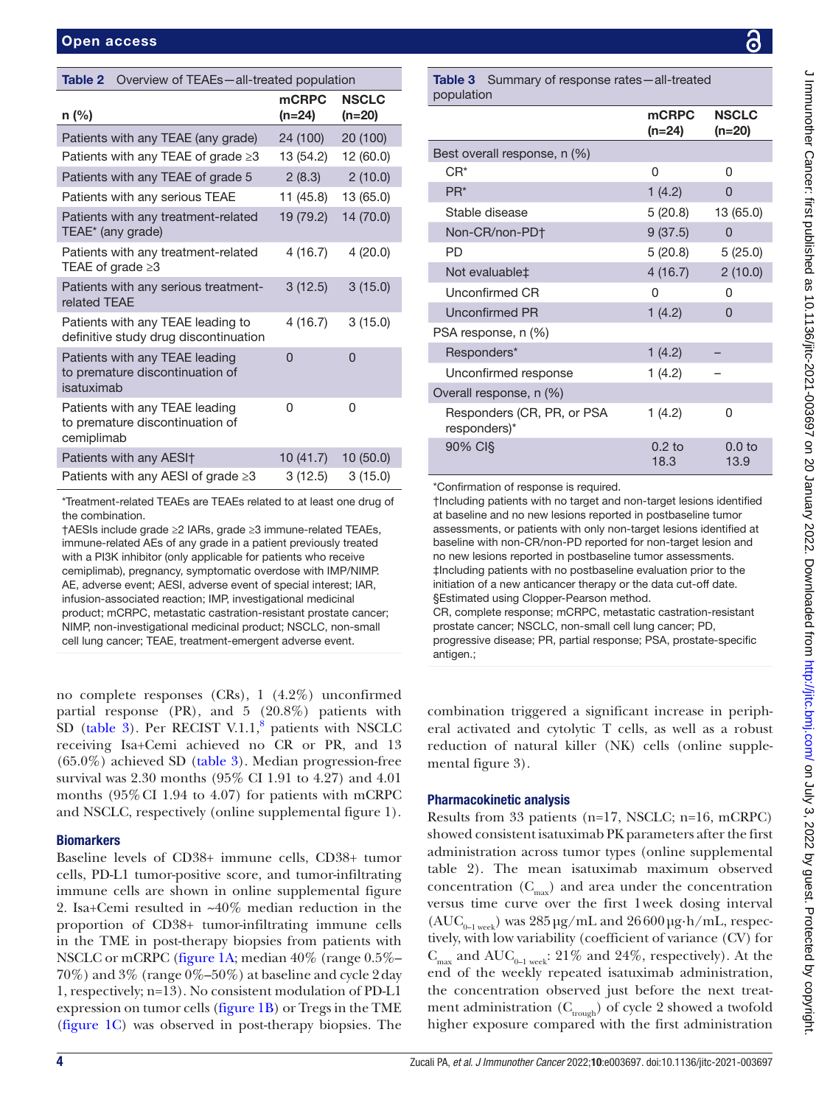<span id="page-3-0"></span>

| Table 2<br>Overview of TEAEs-all-treated population                             |                        |                          |  |
|---------------------------------------------------------------------------------|------------------------|--------------------------|--|
| n (%)                                                                           | <b>mCRPC</b><br>(n=24) | <b>NSCLC</b><br>$(n=20)$ |  |
| Patients with any TEAE (any grade)                                              | 24 (100)               | 20 (100)                 |  |
| Patients with any TEAE of grade $\geq 3$                                        | 13 (54.2)              | 12 (60.0)                |  |
| Patients with any TEAE of grade 5                                               | 2(8.3)                 | 2(10.0)                  |  |
| Patients with any serious TEAE                                                  | 11 (45.8)              | 13 (65.0)                |  |
| Patients with any treatment-related<br>TEAE* (any grade)                        | 19 (79.2)              | 14 (70.0)                |  |
| Patients with any treatment-related<br>TEAE of grade $\geq 3$                   | 4(16.7)                | 4(20.0)                  |  |
| Patients with any serious treatment-<br>related TEAE                            | 3(12.5)                | 3(15.0)                  |  |
| Patients with any TEAE leading to<br>definitive study drug discontinuation      | 4(16.7)                | 3(15.0)                  |  |
| Patients with any TEAE leading<br>to premature discontinuation of<br>isatuximab | O                      | 0                        |  |
| Patients with any TEAE leading<br>to premature discontinuation of<br>cemiplimab | 0                      | 0                        |  |
| Patients with any AESI <sup>+</sup>                                             | 10(41.7)               | 10(50.0)                 |  |
| Patients with any AESI of grade $\geq 3$                                        | 3(12.5)                | 3(15.0)                  |  |
|                                                                                 |                        |                          |  |

\*Treatment-related TEAEs are TEAEs related to at least one drug of the combination.

†AESIs include grade ≥2 IARs, grade ≥3 immune-related TEAEs, immune-related AEs of any grade in a patient previously treated with a PI3K inhibitor (only applicable for patients who receive cemiplimab), pregnancy, symptomatic overdose with IMP/NIMP. AE, adverse event; AESI, adverse event of special interest; IAR, infusion-associated reaction; IMP, investigational medicinal product; mCRPC, metastatic castration-resistant prostate cancer; NIMP, non-investigational medicinal product; NSCLC, non-small cell lung cancer; TEAE, treatment-emergent adverse event.

no complete responses (CRs), 1 (4.2%) unconfirmed partial response (PR), and 5 (20.8%) patients with SD ([table](#page-3-1)  $3$ ). Per RECIST V.1.1, $8$  patients with NSCLC receiving Isa+Cemi achieved no CR or PR, and 13  $(65.0\%)$  achieved SD [\(table](#page-3-1) 3). Median progression-free survival was 2.30 months (95% CI 1.91 to 4.27) and 4.01 months (95%CI 1.94 to 4.07) for patients with mCRPC and NSCLC, respectively ([online supplemental figure 1](https://dx.doi.org/10.1136/jitc-2021-003697)).

# **Biomarkers**

Baseline levels of CD38+ immune cells, CD38+ tumor cells, PD-L1 tumor-positive score, and tumor-infiltrating immune cells are shown in [online supplemental figure](https://dx.doi.org/10.1136/jitc-2021-003697) [2.](https://dx.doi.org/10.1136/jitc-2021-003697) Isa+Cemi resulted in ~40% median reduction in the proportion of CD38+ tumor-infiltrating immune cells in the TME in post-therapy biopsies from patients with NSCLC or mCRPC [\(figure](#page-4-0) 1A; median 40% (range 0.5%– 70%) and 3% (range 0%–50%) at baseline and cycle 2day 1, respectively; n=13). No consistent modulation of PD-L1 expression on tumor cells ([figure](#page-4-0) 1B) or Tregs in the TME ([figure](#page-4-0) 1C) was observed in post-therapy biopsies. The

<span id="page-3-1"></span>Table 3 Summary of response rates-all-treated population mCRPC (n=24) **NSCLC** (n=20) Best overall response, n (%)  $CR^*$  0 0 PR\* 1 (4.2) 0 Stable disease 5 (20.8) 13 (65.0) Non-CR/non-PD† 9 (37.5) 0 PD 5 (20.8) 5 (25.0) Not evaluable $\ddagger$  4 (16.7) 2 (10.0) Unconfirmed CR 0 0 Unconfirmed PR 1 (4.2) 0 PSA response, n (%) Responders\* 1 (4.2) Unconfirmed response 1 (4.2) Overall response, n (%) Responders (CR, PR, or PSA responders)\*  $1(4.2)$  0 90% CI§ 0.2 to 18.3 0.0 to 13.9

\*Confirmation of response is required.

†Including patients with no target and non-target lesions identified at baseline and no new lesions reported in postbaseline tumor assessments, or patients with only non-target lesions identified at baseline with non-CR/non-PD reported for non-target lesion and no new lesions reported in postbaseline tumor assessments. ‡Including patients with no postbaseline evaluation prior to the initiation of a new anticancer therapy or the data cut-off date. §Estimated using Clopper-Pearson method. CR, complete response; mCRPC, metastatic castration-resistant

prostate cancer; NSCLC, non-small cell lung cancer; PD, progressive disease; PR, partial response; PSA, prostate-specific antigen.;

combination triggered a significant increase in peripheral activated and cytolytic T cells, as well as a robust reduction of natural killer (NK) cells [\(online supple](https://dx.doi.org/10.1136/jitc-2021-003697)[mental figure 3\)](https://dx.doi.org/10.1136/jitc-2021-003697).

# Pharmacokinetic analysis

Results from 33 patients (n=17, NSCLC; n=16, mCRPC) showed consistent isatuximab PK parameters after the first administration across tumor types ([online supplemental](https://dx.doi.org/10.1136/jitc-2021-003697)  [table 2](https://dx.doi.org/10.1136/jitc-2021-003697)). The mean isatuximab maximum observed concentration  $(C_{\text{max}})$  and area under the concentration versus time curve over the first 1week dosing interval  $(AUC_{0-1 \text{ week}})$  was  $285 \mu g/mL$  and  $26600 \mu g\cdot h/mL$ , respectively, with low variability (coefficient of variance (CV) for  $C_{\text{max}}$  and AUC<sub>0–1 week</sub>: 21% and 24%, respectively). At the end of the weekly repeated isatuximab administration, the concentration observed just before the next treatment administration  $(\mathbf{C}_{\mathrm{rough}})$  of cycle 2 showed a twofold higher exposure compared with the first administration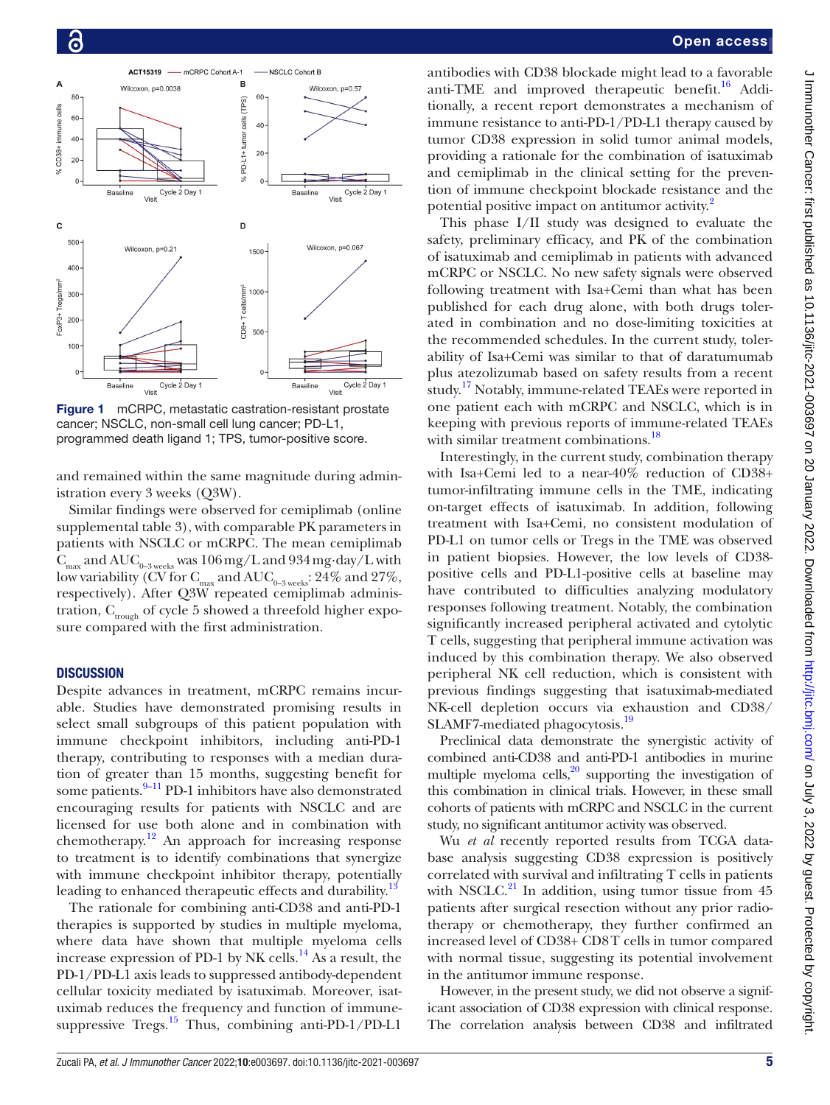

<span id="page-4-0"></span>Figure 1 mCRPC, metastatic castration-resistant prostate cancer; NSCLC, non-small cell lung cancer; PD-L1, programmed death ligand 1; TPS, tumor-positive score.

and remained within the same magnitude during administration every 3 weeks (Q3W).

Similar findings were observed for cemiplimab [\(online](https://dx.doi.org/10.1136/jitc-2021-003697) [supplemental table 3\)](https://dx.doi.org/10.1136/jitc-2021-003697), with comparable PK parameters in patients with NSCLC or mCRPC. The mean cemiplimab  $C_{\text{max}}$  and  $\text{AUC}_{_{0-3 \text{ weeks}}}$  was  $106 \text{ mg/L}$  and  $934 \text{ mg day/L}$  with low variability (CV for  $C_{\text{max}}$  and  $\text{AUC}_{0-3 \text{ weeks}}$ : 24% and 27%, respectively). After Q3W repeated cemiplimab administration,  $C_{\text{trouzh}}$  of cycle 5 showed a threefold higher exposure compared with the first administration.

# **DISCUSSION**

Despite advances in treatment, mCRPC remains incurable. Studies have demonstrated promising results in select small subgroups of this patient population with immune checkpoint inhibitors, including anti-PD-1 therapy, contributing to responses with a median duration of greater than 15 months, suggesting benefit for some patients.<sup>[9–11](#page-6-7)</sup> PD-1 inhibitors have also demonstrated encouraging results for patients with NSCLC and are licensed for use both alone and in combination with chemotherapy.<sup>12</sup> An approach for increasing response to treatment is to identify combinations that synergize with immune checkpoint inhibitor therapy, potentially leading to enhanced therapeutic effects and durability.<sup>[13](#page-6-9)</sup>

The rationale for combining anti-CD38 and anti-PD-1 therapies is supported by studies in multiple myeloma, where data have shown that multiple myeloma cells increase expression of PD-1 by NK cells. $^{14}$  As a result, the PD-1/PD-L1 axis leads to suppressed antibody-dependent cellular toxicity mediated by isatuximab. Moreover, isatuximab reduces the frequency and function of immunesuppressive Tregs.<sup>15</sup> Thus, combining anti-PD-1/PD-L1

antibodies with CD38 blockade might lead to a favorable anti-TME and improved therapeutic benefit.<sup>[16](#page-6-12)</sup> Additionally, a recent report demonstrates a mechanism of immune resistance to anti-PD-1/PD-L1 therapy caused by tumor CD38 expression in solid tumor animal models, providing a rationale for the combination of isatuximab and cemiplimab in the clinical setting for the prevention of immune checkpoint blockade resistance and the potential positive impact on antitumor activity.<sup>[2](#page-6-1)</sup>

This phase I/II study was designed to evaluate the safety, preliminary efficacy, and PK of the combination of isatuximab and cemiplimab in patients with advanced mCRPC or NSCLC. No new safety signals were observed following treatment with Isa+Cemi than what has been published for each drug alone, with both drugs tolerated in combination and no dose-limiting toxicities at the recommended schedules. In the current study, tolerability of Isa+Cemi was similar to that of daratumumab plus atezolizumab based on safety results from a recent study.<sup>17</sup> Notably, immune-related TEAEs were reported in one patient each with mCRPC and NSCLC, which is in keeping with previous reports of immune-related TEAEs with similar treatment combinations.<sup>[18](#page-6-14)</sup>

Interestingly, in the current study, combination therapy with Isa+Cemi led to a near-40% reduction of CD38+ tumor-infiltrating immune cells in the TME, indicating on-target effects of isatuximab. In addition, following treatment with Isa+Cemi, no consistent modulation of PD-L1 on tumor cells or Tregs in the TME was observed in patient biopsies. However, the low levels of CD38 positive cells and PD-L1-positive cells at baseline may have contributed to difficulties analyzing modulatory responses following treatment. Notably, the combination significantly increased peripheral activated and cytolytic T cells, suggesting that peripheral immune activation was induced by this combination therapy. We also observed peripheral NK cell reduction, which is consistent with previous findings suggesting that isatuximab-mediated NK-cell depletion occurs via exhaustion and CD38/ SLAMF7-mediated phagocytosis.[19](#page-6-15)

Preclinical data demonstrate the synergistic activity of combined anti-CD38 and anti-PD-1 antibodies in murine multiple myeloma cells, $^{20}$  supporting the investigation of this combination in clinical trials. However, in these small cohorts of patients with mCRPC and NSCLC in the current study, no significant antitumor activity was observed.

Wu *et al* recently reported results from TCGA database analysis suggesting CD38 expression is positively correlated with survival and infiltrating T cells in patients with NSCLC. $^{21}$  In addition, using tumor tissue from 45 patients after surgical resection without any prior radiotherapy or chemotherapy, they further confirmed an increased level of CD38+ CD8T cells in tumor compared with normal tissue, suggesting its potential involvement in the antitumor immune response.

However, in the present study, we did not observe a significant association of CD38 expression with clinical response. The correlation analysis between CD38 and infiltrated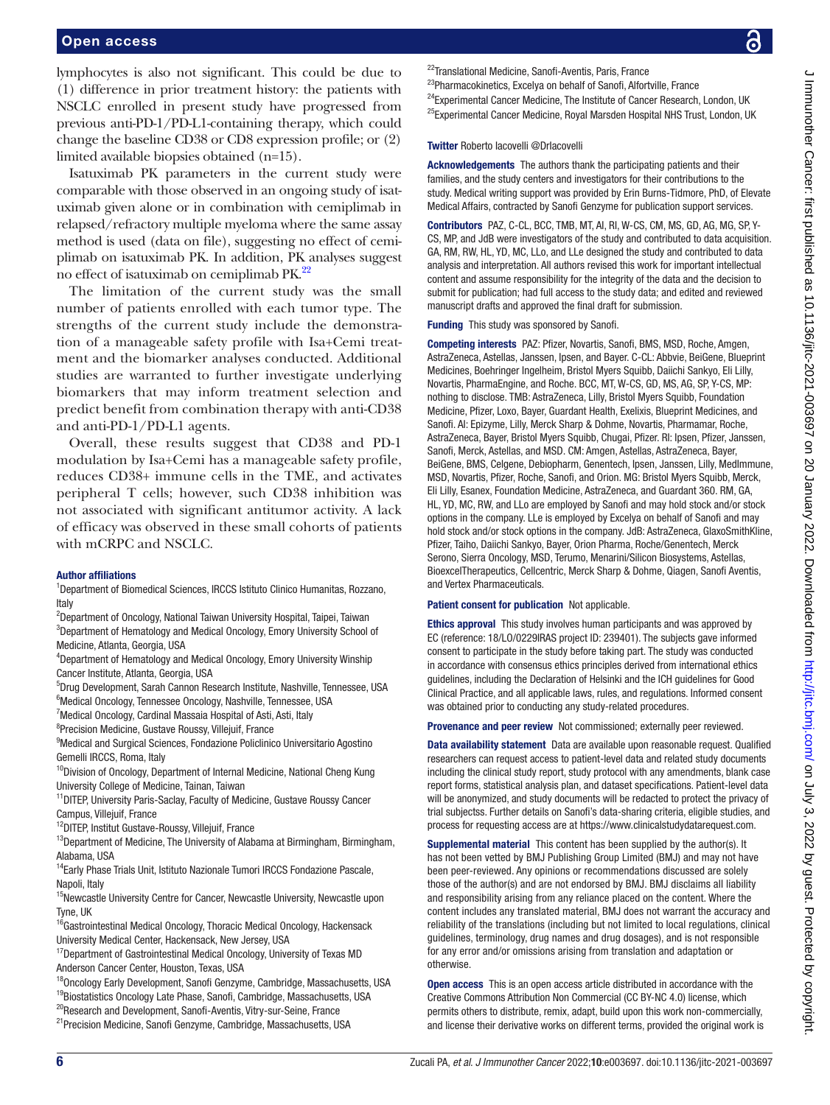lymphocytes is also not significant. This could be due to (1) difference in prior treatment history: the patients with NSCLC enrolled in present study have progressed from previous anti-PD-1/PD-L1-containing therapy, which could change the baseline CD38 or CD8 expression profile; or (2) limited available biopsies obtained (n=15).

Isatuximab PK parameters in the current study were comparable with those observed in an ongoing study of isatuximab given alone or in combination with cemiplimab in relapsed/refractory multiple myeloma where the same assay method is used (data on file), suggesting no effect of cemiplimab on isatuximab PK. In addition, PK analyses suggest no effect of isatuximab on cemiplimab PK.[22](#page-6-18)

The limitation of the current study was the small number of patients enrolled with each tumor type. The strengths of the current study include the demonstration of a manageable safety profile with Isa+Cemi treatment and the biomarker analyses conducted. Additional studies are warranted to further investigate underlying biomarkers that may inform treatment selection and predict benefit from combination therapy with anti-CD38 and anti-PD-1/PD-L1 agents.

Overall, these results suggest that CD38 and PD-1 modulation by Isa+Cemi has a manageable safety profile, reduces CD38+ immune cells in the TME, and activates peripheral T cells; however, such CD38 inhibition was not associated with significant antitumor activity. A lack of efficacy was observed in these small cohorts of patients with mCRPC and NSCLC.

#### Author affiliations

<sup>1</sup>Department of Biomedical Sciences, IRCCS Istituto Clinico Humanitas, Rozzano, Italy

2 Department of Oncology, National Taiwan University Hospital, Taipei, Taiwan <sup>3</sup>Department of Hematology and Medical Oncology, Emory University School of Medicine, Atlanta, Georgia, USA

4 Department of Hematology and Medical Oncology, Emory University Winship Cancer Institute, Atlanta, Georgia, USA

5 Drug Development, Sarah Cannon Research Institute, Nashville, Tennessee, USA 6 Medical Oncology, Tennessee Oncology, Nashville, Tennessee, USA

<sup>7</sup> Medical Oncology, Cardinal Massaia Hospital of Asti, Asti, Italy

<sup>8</sup>Precision Medicine, Gustave Roussy, Villejuif, France

<sup>9</sup>Medical and Surgical Sciences, Fondazione Policlinico Universitario Agostino Gemelli IRCCS, Roma, Italy

<sup>10</sup>Division of Oncology, Department of Internal Medicine, National Cheng Kung University College of Medicine, Tainan, Taiwan

<sup>11</sup>DITEP, University Paris-Saclay, Faculty of Medicine, Gustave Roussy Cancer Campus, Villejuif, France

<sup>12</sup>DITEP, Institut Gustave-Roussy, Villejuif, France

<sup>13</sup>Department of Medicine, The University of Alabama at Birmingham, Birmingham, Alabama, USA

<sup>14</sup>Early Phase Trials Unit, Istituto Nazionale Tumori IRCCS Fondazione Pascale, Napoli, Italy

<sup>15</sup>Newcastle University Centre for Cancer, Newcastle University, Newcastle upon Tyne, UK

 $16$ Gastrointestinal Medical Oncology, Thoracic Medical Oncology, Hackensack University Medical Center, Hackensack, New Jersey, USA

<sup>17</sup>Department of Gastrointestinal Medical Oncology, University of Texas MD Anderson Cancer Center, Houston, Texas, USA

<sup>18</sup>Oncology Early Development, Sanofi Genzyme, Cambridge, Massachusetts, USA

<sup>19</sup>Biostatistics Oncology Late Phase, Sanofi, Cambridge, Massachusetts, USA

<sup>20</sup>Research and Development, Sanofi-Aventis, Vitry-sur-Seine, France

<sup>21</sup> Precision Medicine, Sanofi Genzyme, Cambridge, Massachusetts, USA

<sup>22</sup>Translational Medicine, Sanofi-Aventis, Paris, France

<sup>23</sup>Pharmacokinetics, Excelya on behalf of Sanofi, Alfortville, France

<sup>24</sup>Experimental Cancer Medicine, The Institute of Cancer Research, London, UK <sup>25</sup>Experimental Cancer Medicine, Royal Marsden Hospital NHS Trust, London, UK

Twitter Roberto Iacovelli [@DrIacovelli](https://twitter.com/DrIacovelli)

Acknowledgements The authors thank the participating patients and their families, and the study centers and investigators for their contributions to the study. Medical writing support was provided by Erin Burns-Tidmore, PhD, of Elevate Medical Affairs, contracted by Sanofi Genzyme for publication support services.

Contributors PAZ, C-CL, BCC, TMB, MT, AI, RI, W-CS, CM, MS, GD, AG, MG, SP, Y-CS, MP, and JdB were investigators of the study and contributed to data acquisition. GA, RM, RW, HL, YD, MC, LLo, and LLe designed the study and contributed to data analysis and interpretation. All authors revised this work for important intellectual content and assume responsibility for the integrity of the data and the decision to submit for publication; had full access to the study data; and edited and reviewed manuscript drafts and approved the final draft for submission.

Funding This study was sponsored by Sanofi.

Competing interests PAZ: Pfizer, Novartis, Sanofi, BMS, MSD, Roche, Amgen, AstraZeneca, Astellas, Janssen, Ipsen, and Bayer. C-CL: Abbvie, BeiGene, Blueprint Medicines, Boehringer Ingelheim, Bristol Myers Squibb, Daiichi Sankyo, Eli Lilly, Novartis, PharmaEngine, and Roche. BCC, MT, W-CS, GD, MS, AG, SP, Y-CS, MP: nothing to disclose. TMB: AstraZeneca, Lilly, Bristol Myers Squibb, Foundation Medicine, Pfizer, Loxo, Bayer, Guardant Health, Exelixis, Blueprint Medicines, and Sanofi. AI: Epizyme, Lilly, Merck Sharp & Dohme, Novartis, Pharmamar, Roche, AstraZeneca, Bayer, Bristol Myers Squibb, Chugai, Pfizer. RI: Ipsen, Pfizer, Janssen, Sanofi, Merck, Astellas, and MSD. CM: Amgen, Astellas, AstraZeneca, Bayer, BeiGene, BMS, Celgene, Debiopharm, Genentech, Ipsen, Janssen, Lilly, MedImmune, MSD, Novartis, Pfizer, Roche, Sanofi, and Orion. MG: Bristol Myers Squibb, Merck, Eli Lilly, Esanex, Foundation Medicine, AstraZeneca, and Guardant 360. RM, GA, HL, YD, MC, RW, and LLo are employed by Sanofi and may hold stock and/or stock options in the company. LLe is employed by Excelya on behalf of Sanofi and may hold stock and/or stock options in the company. JdB: AstraZeneca, GlaxoSmithKline, Pfizer, Taiho, Daiichi Sankyo, Bayer, Orion Pharma, Roche/Genentech, Merck Serono, Sierra Oncology, MSD, Terumo, Menarini/Silicon Biosystems, Astellas, BioexcelTherapeutics, Cellcentric, Merck Sharp & Dohme, Qiagen, Sanofi Aventis, and Vertex Pharmaceuticals.

#### Patient consent for publication Not applicable.

Ethics approval This study involves human participants and was approved by EC (reference: 18/LO/0229IRAS project ID: 239401). The subjects gave informed consent to participate in the study before taking part. The study was conducted in accordance with consensus ethics principles derived from international ethics guidelines, including the Declaration of Helsinki and the ICH guidelines for Good Clinical Practice, and all applicable laws, rules, and regulations. Informed consent was obtained prior to conducting any study-related procedures.

Provenance and peer review Not commissioned; externally peer reviewed.

Data availability statement Data are available upon reasonable request. Qualified researchers can request access to patient-level data and related study documents including the clinical study report, study protocol with any amendments, blank case report forms, statistical analysis plan, and dataset specifications. Patient-level data will be anonymized, and study documents will be redacted to protect the privacy of trial subjectss. Further details on Sanofi's data-sharing criteria, eligible studies, and process for requesting access are at [https://www.clinicalstudydatarequest.com](https://www.clinicalstudydatarequest.com/).

Supplemental material This content has been supplied by the author(s). It has not been vetted by BMJ Publishing Group Limited (BMJ) and may not have been peer-reviewed. Any opinions or recommendations discussed are solely those of the author(s) and are not endorsed by BMJ. BMJ disclaims all liability and responsibility arising from any reliance placed on the content. Where the content includes any translated material, BMJ does not warrant the accuracy and reliability of the translations (including but not limited to local regulations, clinical guidelines, terminology, drug names and drug dosages), and is not responsible for any error and/or omissions arising from translation and adaptation or otherwise.

**Open access** This is an open access article distributed in accordance with the Creative Commons Attribution Non Commercial (CC BY-NC 4.0) license, which permits others to distribute, remix, adapt, build upon this work non-commercially, and license their derivative works on different terms, provided the original work is